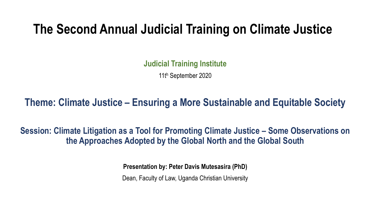# **The Second Annual Judicial Training on Climate Justice**

**Judicial Training Institute**

11th September 2020

#### **Theme: Climate Justice – Ensuring a More Sustainable and Equitable Society**

**Session: Climate Litigation as a Tool for Promoting Climate Justice – Some Observations on the Approaches Adopted by the Global North and the Global South**

**Presentation by: Peter Davis Mutesasira (PhD)**

Dean, Faculty of Law, Uganda Christian University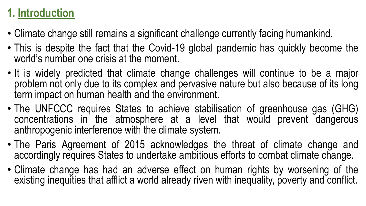## **1. Introduction**

- Climate change still remains a significant challenge currently facing humankind.
- This is despite the fact that the Covid-19 global pandemic has quickly become the world's number one crisis at the moment.
- It is widely predicted that climate change challenges will continue to be a major problem not only due to its complex and pervasive nature but also because of its long term impact on human health and the environment.
- The UNFCCC requires States to achieve stabilisation of greenhouse gas (GHG) concentrations in the atmosphere at a level that would prevent dangerous anthropogenic interference with the climate system.
- The Paris Agreement of 2015 acknowledges the threat of climate change and accordingly requires States to undertake ambitious efforts to combat climate change.
- Climate change has had an adverse effect on human rights by worsening of the existing inequities that afflict a world already riven with inequality, poverty and conflict.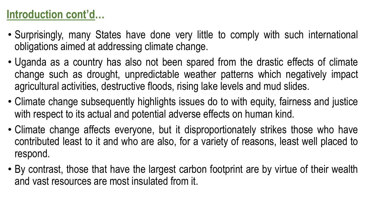### **Introduction cont'd…**

- Surprisingly, many States have done very little to comply with such international obligations aimed at addressing climate change.
- Uganda as a country has also not been spared from the drastic effects of climate change such as drought, unpredictable weather patterns which negatively impact agricultural activities, destructive floods, rising lake levels and mud slides.
- Climate change subsequently highlights issues do to with equity, fairness and justice with respect to its actual and potential adverse effects on human kind.
- Climate change affects everyone, but it disproportionately strikes those who have contributed least to it and who are also, for a variety of reasons, least well placed to respond.
- By contrast, those that have the largest carbon footprint are by virtue of their wealth and vast resources are most insulated from it.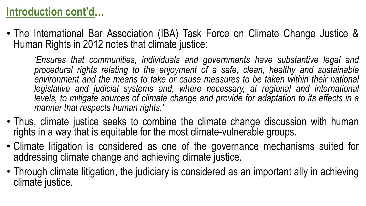## **Introduction cont'd…**

• The International Bar Association (IBA) Task Force on Climate Change Justice & Human Rights in 2012 notes that climate justice:

*'Ensures that communities, individuals and governments have substantive legal and procedural rights relating to the enjoyment of a safe, clean, healthy and sustainable environment and the means to take or cause measures to be taken within their national legislative and judicial systems and, where necessary, at regional and international levels, to mitigate sources of climate change and provide for adaptation to its effects in a manner that respects human rights.'*

- Thus, climate justice seeks to combine the climate change discussion with human rights in a way that is equitable for the most climate-vulnerable groups.
- Climate litigation is considered as one of the governance mechanisms suited for addressing climate change and achieving climate justice.
- Through climate litigation, the judiciary is considered as an important ally in achieving climate justice.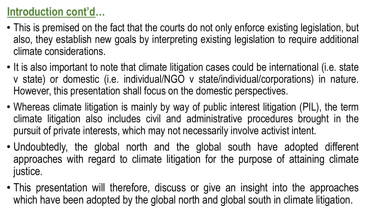### **Introduction cont'd…**

- This is premised on the fact that the courts do not only enforce existing legislation, but also, they establish new goals by interpreting existing legislation to require additional climate considerations.
- It is also important to note that climate litigation cases could be international (i.e. state v state) or domestic (i.e. individual/NGO v state/individual/corporations) in nature. However, this presentation shall focus on the domestic perspectives.
- Whereas climate litigation is mainly by way of public interest litigation (PIL), the term climate litigation also includes civil and administrative procedures brought in the pursuit of private interests, which may not necessarily involve activist intent.
- Undoubtedly, the global north and the global south have adopted different approaches with regard to climate litigation for the purpose of attaining climate justice.
- This presentation will therefore, discuss or give an insight into the approaches which have been adopted by the global north and global south in climate litigation.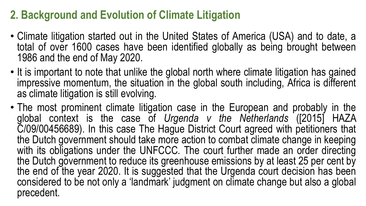## **2. Background and Evolution of Climate Litigation**

- Climate litigation started out in the United States of America (USA) and to date, a total of over 1600 cases have been identified globally as being brought between 1986 and the end of May 2020.
- It is important to note that unlike the global north where climate litigation has gained impressive momentum, the situation in the global south including, Africa is different as climate litigation is still evolving.
- The most prominent climate litigation case in the European and probably in the global context is the case of *Urgenda v the Netherlands* ([2015] HAZA C/09/00456689). In this case The Hague District Court agreed with petitioners that the Dutch government should take more action to combat climate change in keeping with its obligations under the UNFCCC. The court further made an order directing the Dutch government to reduce its greenhouse emissions by at least 25 per cent by the end of the year 2020. It is suggested that the Urgenda court decision has been considered to be not only a 'landmark' judgment on climate change but also a global precedent.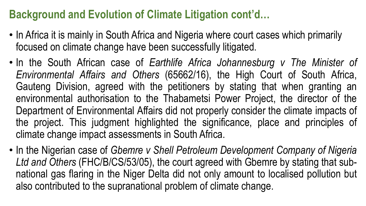#### **Background and Evolution of Climate Litigation cont'd…**

- In Africa it is mainly in South Africa and Nigeria where court cases which primarily focused on climate change have been successfully litigated.
- In the South African case of *Earthlife Africa Johannesburg v The Minister of Environmental Affairs and Others* (65662/16), the High Court of South Africa, Gauteng Division, agreed with the petitioners by stating that when granting an environmental authorisation to the Thabametsi Power Project, the director of the Department of Environmental Affairs did not properly consider the climate impacts of the project. This judgment highlighted the significance, place and principles of climate change impact assessments in South Africa.
- In the Nigerian case of *Gbemre v Shell Petroleum Development Company of Nigeria Ltd and Others* (FHC/B/CS/53/05), the court agreed with Gbemre by stating that subnational gas flaring in the Niger Delta did not only amount to localised pollution but also contributed to the supranational problem of climate change.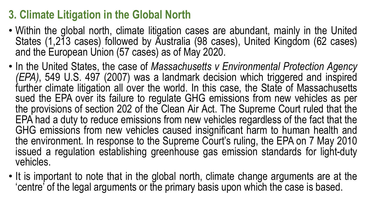## **3. Climate Litigation in the Global North**

- Within the global north, climate litigation cases are abundant, mainly in the United States (1,213 cases) followed by Australia (98 cases), United Kingdom (62 cases) and the European Union (57 cases) as of May 2020.
- In the United States, the case of *Massachusetts v Environmental Protection Agency (EPA)*, 549 U.S. 497 (2007) was a landmark decision which triggered and inspired further climate litigation all over the world. In this case, the State of Massachusetts sued the EPA over its failure to regulate GHG emissions from new vehicles as per the provisions of section 202 of the Clean Air Act. The Supreme Court ruled that the EPA had a duty to reduce emissions from new vehicles regardless of the fact that the GHG emissions from new vehicles caused insignificant harm to human health and the environment. In response to the Supreme Court's ruling, the EPA on 7 May 2010 issued a regulation establishing greenhouse gas emission standards for light-duty vehicles.
- It is important to note that in the global north, climate change arguments are at the 'centre' of the legal arguments or the primary basis upon which the case is based.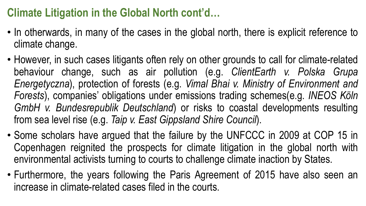## **Climate Litigation in the Global North cont'd…**

- In otherwards, in many of the cases in the global north, there is explicit reference to climate change.
- However, in such cases litigants often rely on other grounds to call for climate-related behaviour change, such as air pollution (e.g. *ClientEarth v. Polska Grupa Energetyczna*), protection of forests (e.g. *Vimal Bhai v. Ministry of Environment and Forests*), companies' obligations under emissions trading schemes(e.g. *INEOS Köln GmbH v. Bundesrepublik Deutschland*) or risks to coastal developments resulting from sea level rise (e.g. *Taip v. East Gippsland Shire Council*).
- Some scholars have argued that the failure by the UNFCCC in 2009 at COP 15 in Copenhagen reignited the prospects for climate litigation in the global north with environmental activists turning to courts to challenge climate inaction by States.
- Furthermore, the years following the Paris Agreement of 2015 have also seen an increase in climate-related cases filed in the courts.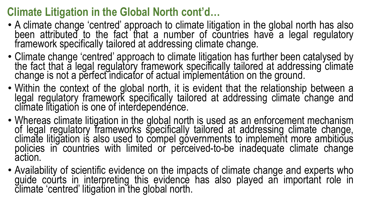## **Climate Litigation in the Global North cont'd…**

- A climate change 'centred' approach to climate litigation in the global north has also been attributed to the fact that a number of countries have a legal regulatory<br>framework specifically tailored at addressing climate change.
- Climate change 'centred' approach to climate litigation has further been catalysed by<br>the fact that a legal regulatory framework specifically tailored at addressing climate change is not a perfect indicator of actual implementation on the ground.
- Within the context of the global north, it is evident that the relationship between a legal regulatory framework specifically tailored at addressing climate change and climate litigation is one of interdependence.
- Whereas climate litigation in the global north is used as an enforcement mechanism of legal regulatory frameworks specifically tailored at addressing climate change,<br>climate litigation is also used to compel governments to implement more ambitious policies in countries with limited or perceived-to-be inadequate climate change<br>action.
- Availability of scientific evidence on the impacts of climate change and experts who guide courts in interpreting this evidence has also played an important role in climate 'centred' litigation in the global north.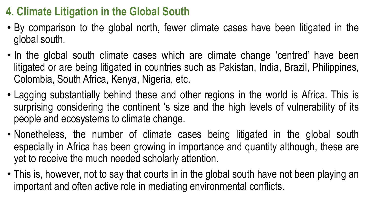## **4. Climate Litigation in the Global South**

- By comparison to the global north, fewer climate cases have been litigated in the global south.
- In the global south climate cases which are climate change 'centred' have been litigated or are being litigated in countries such as Pakistan, India, Brazil, Philippines, Colombia, South Africa, Kenya, Nigeria, etc.
- Lagging substantially behind these and other regions in the world is Africa. This is surprising considering the continent 's size and the high levels of vulnerability of its people and ecosystems to climate change.
- Nonetheless, the number of climate cases being litigated in the global south especially in Africa has been growing in importance and quantity although, these are yet to receive the much needed scholarly attention.
- This is, however, not to say that courts in in the global south have not been playing an important and often active role in mediating environmental conflicts.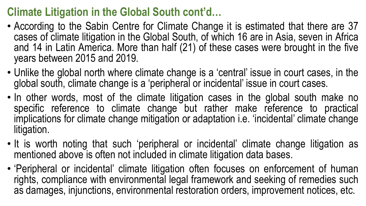## **Climate Litigation in the Global South cont'd…**

- According to the Sabin Centre for Climate Change it is estimated that there are 37 cases of climate litigation in the Global South, of which 16 are in Asia, seven in Africa and 14 in Latin America. More than half (21) of these cases were brought in the five years between 2015 and 2019.
- Unlike the global north where climate change is a 'central' issue in court cases, in the global south, climate change is a 'peripheral or incidental' issue in court cases.
- In other words, most of the climate litigation cases in the global south make no specific reference to climate change but rather make reference to practical implications for climate change mitigation or adaptation i.e. 'incidental' climate change litigation.
- It is worth noting that such 'peripheral or incidental' climate change litigation as mentioned above is often not included in climate litigation data bases.
- 'Peripheral or incidental' climate litigation often focuses on enforcement of human rights, compliance with environmental legal framework and seeking of remedies such as damages, injunctions, environmental restoration orders, improvement notices, etc.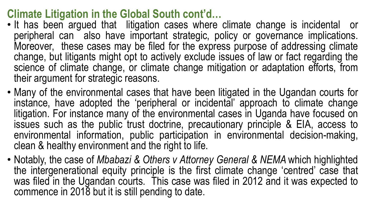#### **Climate Litigation in the Global South cont'd…**

- It has been argued that litigation cases where climate change is incidental or peripheral can also have important strategic, policy or governance implications. Moreover, these cases may be filed for the express purpose of addressing climate change, but litigants might opt to actively exclude issues of law or fact regarding the science of climate change, or climate change mitigation or adaptation efforts, from their argument for strategic reasons.
- Many of the environmental cases that have been litigated in the Ugandan courts for instance, have adopted the 'peripheral or incidental' approach to climate change litigation. For instance many of the environmental cases in Uganda have focused on issues such as the public trust doctrine, precautionary principle & EIA, access to environmental information, public participation in environmental decision-making, clean & healthy environment and the right to life.
- Notably, the case of *Mbabazi & Others v Attorney General & NEMA* which highlighted the intergenerational equity principle is the first climate change 'centred' case that was filed in the Ugandan courts. This case was filed in 2012 and it was expected to commence in 2018 but it is still pending to date.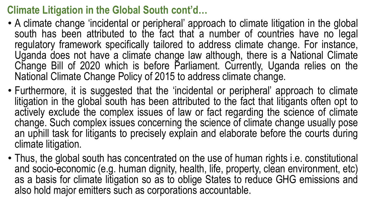#### **Climate Litigation in the Global South cont'd…**

- A climate change 'incidental or peripheral' approach to climate litigation in the global south has been attributed to the fact that a number of countries have no legal regulatory framework specifically tailored to address climate change. For instance, Uganda does not have a climate change law although, there is a National Climate Change Bill of 2020 which is before Parliament. Currently, Uganda relies on the National Climate Change Policy of 2015 to address climate change.
- Furthermore, it is suggested that the 'incidental or peripheral' approach to climate litigation in the global south has been attributed to the fact that litigants often opt to actively exclude the complex issues of law or fact regarding the science of climate change. Such complex issues concerning the science of climate change usually pose an uphill task for litigants to precisely explain and elaborate before the courts during climate litigation.
- Thus, the global south has concentrated on the use of human rights i.e. constitutional and socio-economic (e.g. human dignity, health, life, property, clean environment, etc) as a basis for climate litigation so as to oblige States to reduce GHG emissions and also hold major emitters such as corporations accountable.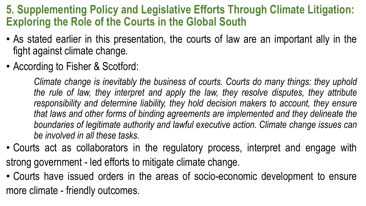#### **5. Supplementing Policy and Legislative Efforts Through Climate Litigation: Exploring the Role of the Courts in the Global South**

- As stated earlier in this presentation, the courts of law are an important ally in the fight against climate change.
- According to Fisher & Scotford:

*Climate change is inevitably the business of courts. Courts do many things: they uphold the rule of law, they interpret and apply the law, they resolve disputes, they attribute responsibility and determine liability, they hold decision makers to account, they ensure that laws and other forms of binding agreements are implemented and they delineate the boundaries of legitimate authority and lawful executive action. Climate change issues can be involved in all these tasks.*

- Courts act as collaborators in the regulatory process, interpret and engage with strong government - led efforts to mitigate climate change.
- Courts have issued orders in the areas of socio-economic development to ensure more climate - friendly outcomes.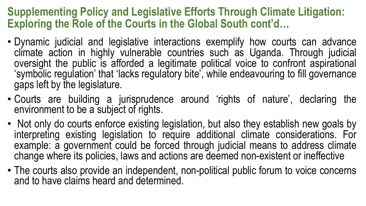#### **Supplementing Policy and Legislative Efforts Through Climate Litigation: Exploring the Role of the Courts in the Global South cont'd…**

- Dynamic judicial and legislative interactions exemplify how courts can advance climate action in highly vulnerable countries such as Uganda. Through judicial oversight the public is afforded a legitimate political voice to confront aspirational 'symbolic regulation' that 'lacks regulatory bite', while endeavouring to fill governance gaps left by the legislature.
- Courts are building a jurisprudence around 'rights of nature', declaring the environment to be a subject of rights.
- Not only do courts enforce existing legislation, but also they establish new goals by interpreting existing legislation to require additional climate considerations. For example: a government could be forced through judicial means to address climate change where its policies, laws and actions are deemed non-existent or ineffective
- The courts also provide an independent, non-political public forum to voice concerns and to have claims heard and determined.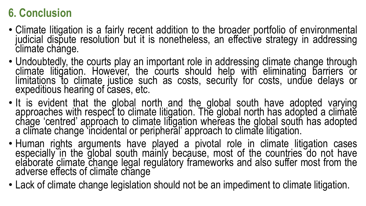## **6. Conclusion**

- Climate litigation is a fairly recent addition to the broader portfolio of environmental judicial dispute resolution but it is nonetheless, an effective strategy in addressing<br>climate change.
- Undoubtedly, the courts play an important role in addressing climate change through climate litigation. However, the courts should help with eliminating barriers or limitations to climate justice such as costs, security for costs, undue delays or expeditious hearing of cases, etc.
- It is evident that the global north and the global south have adopted varying approaches with respect to climate litigation. The global north has adopted a climate chage 'centred' approach to climate litigation whereas the global south has adopted a climate change 'incidental or peripheral' approach to climate litigation.
- Human rights arguments have played a pivotal role in climate litigation cases especially in the global south mainly because, most of the countries do not have elaborate climate change legal regulatory frameworks and also suffer most from the adverse effects of climate change
- Lack of climate change legislation should not be an impediment to climate litigation.